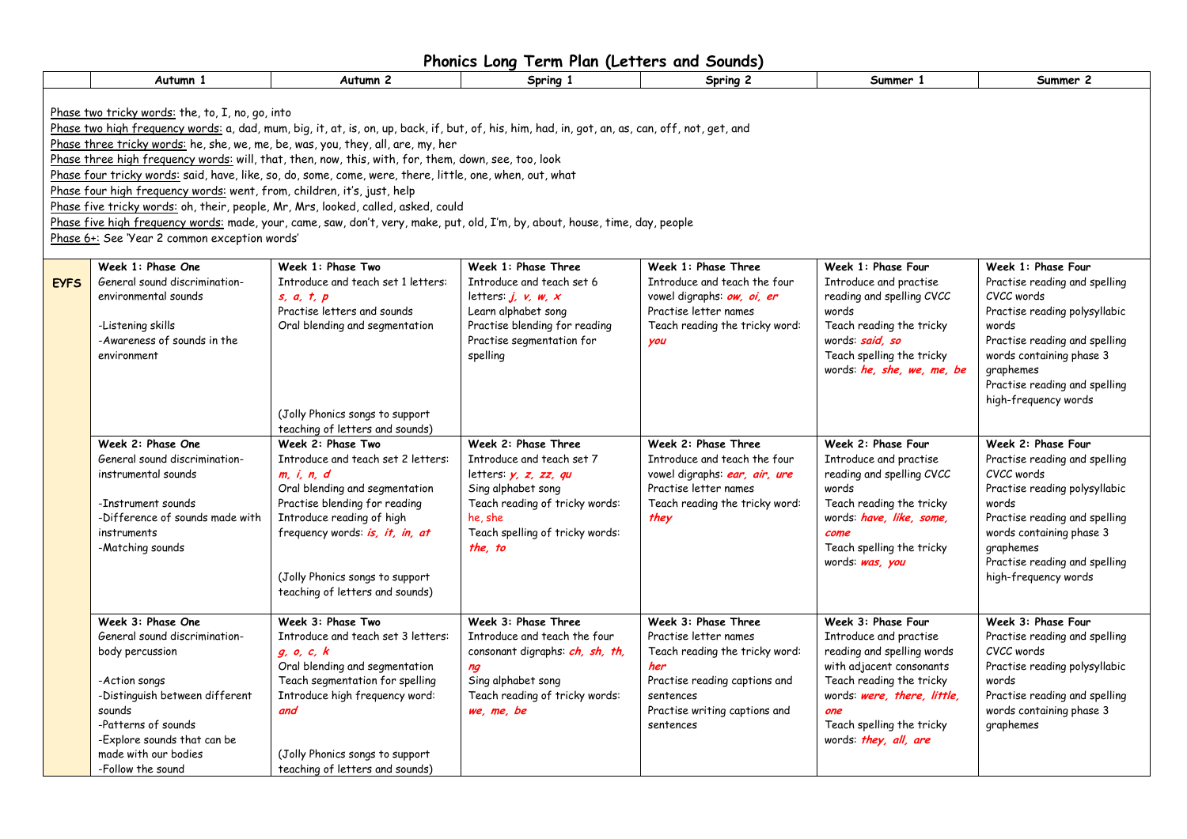| Phonics Long Term Plan (Letters and Sounds) |
|---------------------------------------------|
|---------------------------------------------|

|             | Autumn 1                                                                                                                                                                                                                              | Autumn <sub>2</sub>                                                                                                                                                                                                                                                                                                                                                                                                                                                                                                                                                                                                                                                            | Spring 1                                                                                                                                                                                    | Spring 2                                                                                                                                                                          | Summer 1                                                                                                                                                                                                                       | Summer 2                                                                                                                                                                                                                                       |
|-------------|---------------------------------------------------------------------------------------------------------------------------------------------------------------------------------------------------------------------------------------|--------------------------------------------------------------------------------------------------------------------------------------------------------------------------------------------------------------------------------------------------------------------------------------------------------------------------------------------------------------------------------------------------------------------------------------------------------------------------------------------------------------------------------------------------------------------------------------------------------------------------------------------------------------------------------|---------------------------------------------------------------------------------------------------------------------------------------------------------------------------------------------|-----------------------------------------------------------------------------------------------------------------------------------------------------------------------------------|--------------------------------------------------------------------------------------------------------------------------------------------------------------------------------------------------------------------------------|------------------------------------------------------------------------------------------------------------------------------------------------------------------------------------------------------------------------------------------------|
|             | Phase two tricky words: the, to, I, no, go, into<br>Phase four high frequency words: went, from, children, it's, just, help<br>Phase 6+: See 'Year 2 common exception words'                                                          | Phase two high frequency words: a, dad, mum, big, it, at, is, on, up, back, if, but, of, his, him, had, in, got, an, as, can, off, not, get, and<br>Phase three tricky words: he, she, we, me, be, was, you, they, all, are, my, her<br>Phase three high frequency words: will, that, then, now, this, with, for, them, down, see, too, look<br>Phase four tricky words: said, have, like, so, do, some, come, were, there, little, one, when, out, what<br>Phase five tricky words: oh, their, people, Mr, Mrs, looked, called, asked, could<br>Phase five high frequency words: made, your, came, saw, don't, very, make, put, old, I'm, by, about, house, time, day, people |                                                                                                                                                                                             |                                                                                                                                                                                   |                                                                                                                                                                                                                                |                                                                                                                                                                                                                                                |
| <b>EYFS</b> | Week 1: Phase One<br>General sound discrimination-<br>environmental sounds<br>-Listening skills<br>-Awareness of sounds in the<br>environment                                                                                         | Week 1: Phase Two<br>Introduce and teach set 1 letters:<br>s, a, t, p<br>Practise letters and sounds<br>Oral blending and segmentation<br>(Jolly Phonics songs to support<br>teaching of letters and sounds)                                                                                                                                                                                                                                                                                                                                                                                                                                                                   | Week 1: Phase Three<br>Introduce and teach set 6<br>letters: $j, v, w, x$<br>Learn alphabet song<br>Practise blending for reading<br>Practise segmentation for<br>spelling                  | Week 1: Phase Three<br>Introduce and teach the four<br>vowel digraphs: ow, oi, er<br>Practise letter names<br>Teach reading the tricky word:<br>you                               | Week 1: Phase Four<br>Introduce and practise<br>reading and spelling CVCC<br>words<br>Teach reading the tricky<br>words: said, so<br>Teach spelling the tricky<br>words: he, she, we, me, be                                   | Week 1: Phase Four<br>Practise reading and spelling<br>CVCC words<br>Practise reading polysyllabic<br>words<br>Practise reading and spelling<br>words containing phase 3<br>graphemes<br>Practise reading and spelling<br>high-frequency words |
|             | Week 2: Phase One<br>General sound discrimination-<br>instrumental sounds<br>-Instrument sounds<br>-Difference of sounds made with<br>instruments<br>-Matching sounds                                                                 | Week 2: Phase Two<br>Introduce and teach set 2 letters:<br>m, i, n, d<br>Oral blending and segmentation<br>Practise blending for reading<br>Introduce reading of high<br>frequency words: is, it, in, at<br>(Jolly Phonics songs to support<br>teaching of letters and sounds)                                                                                                                                                                                                                                                                                                                                                                                                 | Week 2: Phase Three<br>Introduce and teach set 7<br>letters: $y, z, zz, qu$<br>Sing alphabet song<br>Teach reading of tricky words:<br>he she<br>Teach spelling of tricky words:<br>the, to | Week 2: Phase Three<br>Introduce and teach the four<br>vowel digraphs: ear, air, ure<br>Practise letter names<br>Teach reading the tricky word:<br>they                           | Week 2: Phase Four<br>Introduce and practise<br>reading and spelling CVCC<br>words<br>Teach reading the tricky<br>words: have, like, some,<br>come<br>Teach spelling the tricky<br>words: was, you                             | Week 2: Phase Four<br>Practise reading and spelling<br>CVCC words<br>Practise reading polysyllabic<br>words<br>Practise reading and spelling<br>words containing phase 3<br>graphemes<br>Practise reading and spelling<br>high-frequency words |
|             | Week 3: Phase One<br>General sound discrimination-<br>body percussion<br>-Action songs<br>-Distinguish between different<br>sounds<br>-Patterns of sounds<br>-Explore sounds that can be<br>made with our bodies<br>-Follow the sound | Week 3: Phase Two<br>Introduce and teach set 3 letters:<br>g, o, c, k<br>Oral blending and segmentation<br>Teach segmentation for spelling<br>Introduce high frequency word:<br>and<br>(Jolly Phonics songs to support<br>teaching of letters and sounds)                                                                                                                                                                                                                                                                                                                                                                                                                      | Week 3: Phase Three<br>Introduce and teach the four<br>consonant digraphs: ch, sh, th,<br>ng<br>Sing alphabet song<br>Teach reading of tricky words:<br>we, me, be                          | Week 3: Phase Three<br>Practise letter names<br>Teach reading the tricky word:<br>her<br>Practise reading captions and<br>sentences<br>Practise writing captions and<br>sentences | Week 3: Phase Four<br>Introduce and practise<br>reading and spelling words<br>with adjacent consonants<br>Teach reading the tricky<br>words: were, there, little,<br>one<br>Teach spelling the tricky<br>words: they, all, are | Week 3: Phase Four<br>Practise reading and spelling<br>CVCC words<br>Practise reading polysyllabic<br>words<br>Practise reading and spelling<br>words containing phase 3<br>graphemes                                                          |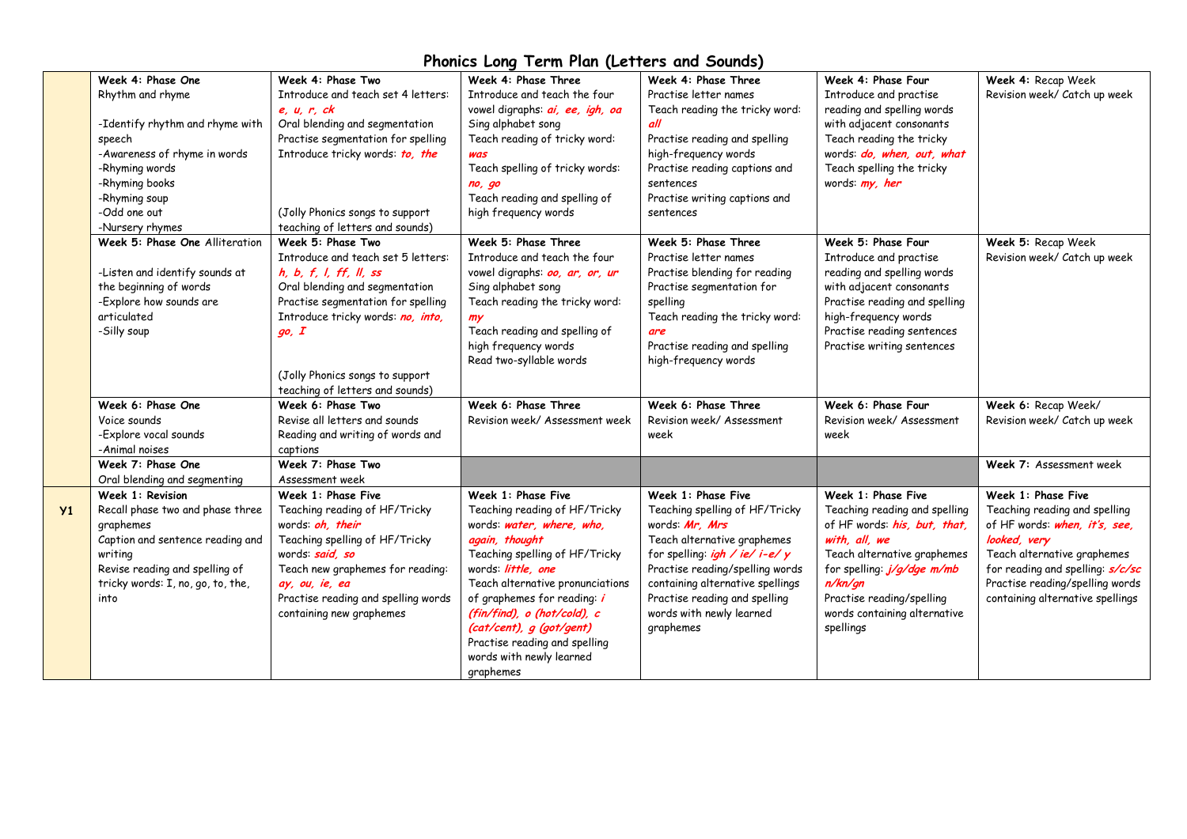|    | Week 4: Phase One                                 | Week 4: Phase Two                                    | Week 4: Phase Three                     | Week 4: Phase Three                   | Week 4: Phase Four            | Week 4: Recap Week               |
|----|---------------------------------------------------|------------------------------------------------------|-----------------------------------------|---------------------------------------|-------------------------------|----------------------------------|
|    | Rhythm and rhyme                                  | Introduce and teach set 4 letters:                   | Introduce and teach the four            | Practise letter names                 | Introduce and practise        | Revision week/ Catch up week     |
|    |                                                   | e, u, r, ck                                          | vowel digraphs: <i>ai</i> , ee, igh, oa | Teach reading the tricky word:        | reading and spelling words    |                                  |
|    | -Identify rhythm and rhyme with                   | Oral blending and segmentation                       | Sing alphabet song                      | all                                   | with adjacent consonants      |                                  |
|    | speech                                            | Practise segmentation for spelling                   | Teach reading of tricky word:           | Practise reading and spelling         | Teach reading the tricky      |                                  |
|    | -Awareness of rhyme in words                      | Introduce tricky words: to, the                      | was                                     | high-frequency words                  | words: do, when, out, what    |                                  |
|    | -Rhyming words                                    |                                                      | Teach spelling of tricky words:         | Practise reading captions and         | Teach spelling the tricky     |                                  |
|    | -Rhyming books                                    |                                                      |                                         | sentences                             | words: my, her                |                                  |
|    | -Rhyming soup                                     |                                                      | no, go<br>Teach reading and spelling of | Practise writing captions and         |                               |                                  |
|    | -Odd one out                                      |                                                      | high frequency words                    | sentences                             |                               |                                  |
|    |                                                   | (Jolly Phonics songs to support                      |                                         |                                       |                               |                                  |
|    | -Nursery rhymes<br>Week 5: Phase One Alliteration | teaching of letters and sounds)<br>Week 5: Phase Two |                                         |                                       |                               |                                  |
|    |                                                   |                                                      | Week 5: Phase Three                     | Week 5: Phase Three                   | Week 5: Phase Four            | Week 5: Recap Week               |
|    |                                                   | Introduce and teach set 5 letters:                   | Introduce and teach the four            | Practise letter names                 | Introduce and practise        | Revision week/ Catch up week     |
|    | -Listen and identify sounds at                    | h, b, f, l, ff, ll, ss                               | vowel digraphs: oo, ar, or, ur          | Practise blending for reading         | reading and spelling words    |                                  |
|    | the beginning of words                            | Oral blending and segmentation                       | Sing alphabet song                      | Practise segmentation for             | with adjacent consonants      |                                  |
|    | -Explore how sounds are                           | Practise segmentation for spelling                   | Teach reading the tricky word:          | spelling                              | Practise reading and spelling |                                  |
|    | articulated                                       | Introduce tricky words: no, into,                    | my                                      | Teach reading the tricky word:        | high-frequency words          |                                  |
|    | -Silly soup                                       | go, I                                                | Teach reading and spelling of           | are                                   | Practise reading sentences    |                                  |
|    |                                                   |                                                      | high frequency words                    | Practise reading and spelling         | Practise writing sentences    |                                  |
|    |                                                   |                                                      | Read two-syllable words                 | high-frequency words                  |                               |                                  |
|    |                                                   | (Jolly Phonics songs to support                      |                                         |                                       |                               |                                  |
|    |                                                   | teaching of letters and sounds)                      |                                         |                                       |                               |                                  |
|    | Week 6: Phase One                                 | Week 6: Phase Two                                    | Week 6: Phase Three                     | Week 6: Phase Three                   | Week 6: Phase Four            | Week 6: Recap Week/              |
|    | Voice sounds                                      | Revise all letters and sounds                        | Revision week/ Assessment week          | Revision week/ Assessment             | Revision week/ Assessment     | Revision week/ Catch up week     |
|    | -Explore vocal sounds                             | Reading and writing of words and                     |                                         | week                                  | week                          |                                  |
|    | -Animal noises                                    | captions                                             |                                         |                                       |                               |                                  |
|    | Week 7: Phase One                                 | Week 7: Phase Two                                    |                                         |                                       |                               | Week 7: Assessment week          |
|    | Oral blending and segmenting                      | Assessment week                                      |                                         |                                       |                               |                                  |
|    | Week 1: Revision                                  | Week 1: Phase Five                                   | Week 1: Phase Five                      | Week 1: Phase Five                    | Week 1: Phase Five            | Week 1: Phase Five               |
| Y1 | Recall phase two and phase three                  | Teaching reading of HF/Tricky                        | Teaching reading of HF/Tricky           | Teaching spelling of HF/Tricky        | Teaching reading and spelling | Teaching reading and spelling    |
|    | graphemes                                         | words: oh. their                                     | words: water, where, who,               | words: Mr. Mrs                        | of HF words: his, but, that,  | of HF words: when, it's, see,    |
|    | Caption and sentence reading and                  | Teaching spelling of HF/Tricky                       | again, thought                          | Teach alternative graphemes           | with, all, we                 | looked, very                     |
|    | writing                                           | words: said, so                                      | Teaching spelling of HF/Tricky          | for spelling: <i>igh / ie/ i-e/ y</i> | Teach alternative graphemes   | Teach alternative graphemes      |
|    | Revise reading and spelling of                    | Teach new graphemes for reading:                     | words: little, one                      | Practise reading/spelling words       | for spelling: j/g/dge m/mb    | for reading and spelling: s/c/sc |
|    | tricky words: I, no, go, to, the,                 | ay, ou, ie, ea                                       | Teach alternative pronunciations        | containing alternative spellings      | n/kn/gn                       | Practise reading/spelling words  |
|    | into                                              | Practise reading and spelling words                  | of graphemes for reading: i             | Practise reading and spelling         | Practise reading/spelling     | containing alternative spellings |
|    |                                                   | containing new graphemes                             | (fin/find), o (hot/cold), c             | words with newly learned              | words containing alternative  |                                  |
|    |                                                   |                                                      | (cat/cent), g (got/gent)                | graphemes                             | spellings                     |                                  |
|    |                                                   |                                                      | Practise reading and spelling           |                                       |                               |                                  |
|    |                                                   |                                                      | words with newly learned                |                                       |                               |                                  |
|    |                                                   |                                                      | graphemes                               |                                       |                               |                                  |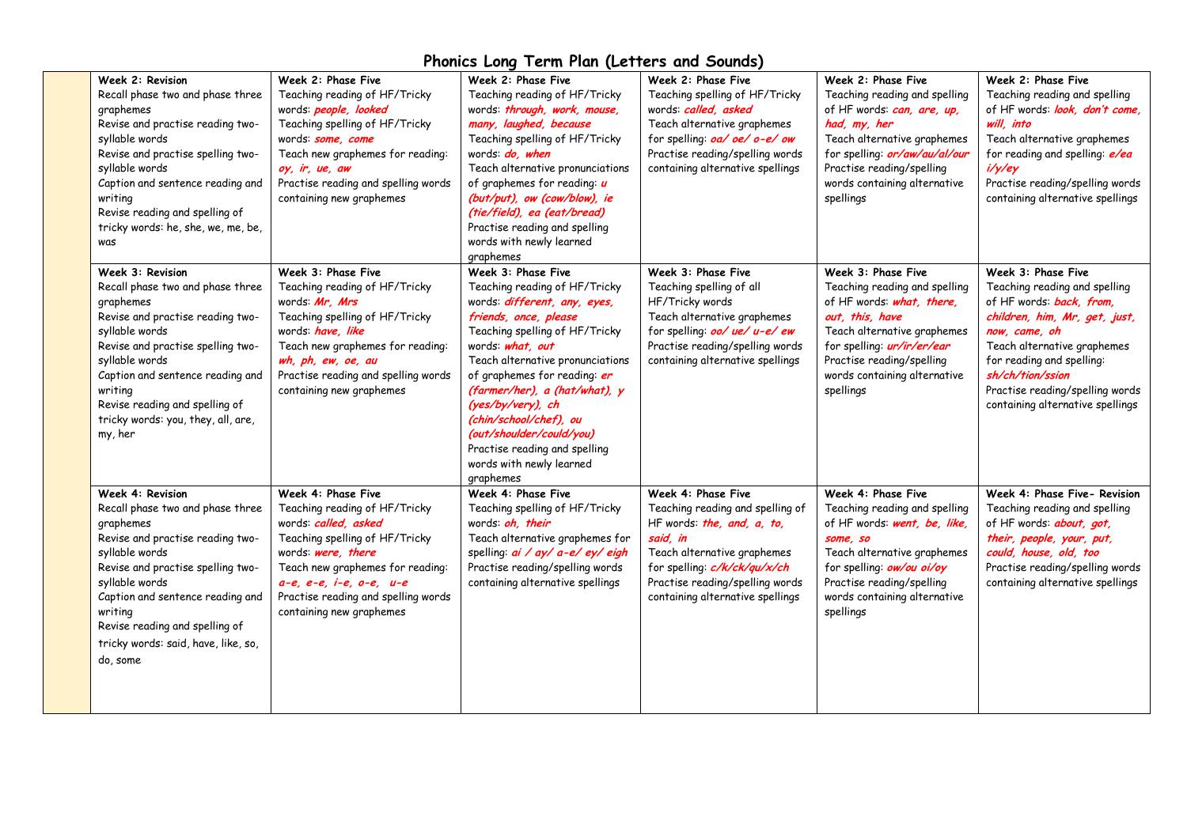| Week 2: Revision<br>Recall phase two and phase three<br>graphemes<br>Revise and practise reading two-<br>syllable words<br>Revise and practise spelling two-<br>syllable words<br>Caption and sentence reading and<br>writing<br>Revise reading and spelling of<br>tricky words: he, she, we, me, be,<br>was       | Week 2: Phase Five<br>Teaching reading of HF/Tricky<br>words: people, looked<br>Teaching spelling of HF/Tricky<br>words: some, come<br>Teach new graphemes for reading:<br>oy, ir, ue, aw<br>Practise reading and spelling words<br>containing new graphemes            | Week 2: Phase Five<br>Teaching reading of HF/Tricky<br>words: through, work, mouse,<br>many, laughed, because<br>Teaching spelling of HF/Tricky<br>words: do, when<br>Teach alternative pronunciations<br>of graphemes for reading: $\boldsymbol{u}$<br>(but/put), ow (cow/blow), ie<br>(tie/field), ea (eat/bread)<br>Practise reading and spelling<br>words with newly learned<br>graphemes                                        | Week 2: Phase Five<br>Teaching spelling of HF/Tricky<br>words: called, asked<br>Teach alternative graphemes<br>for spelling: <i>oa/ oe/ o-e/ ow</i><br>Practise reading/spelling words<br>containing alternative spellings             | Week 2: Phase Five<br>Teaching reading and spelling<br>of HF words: can, are, up,<br>had, my, her<br>Teach alternative graphemes<br>for spelling: or/aw/au/al/our<br>Practise reading/spelling<br>words containing alternative<br>spellings       | Week 2: Phase Five<br>Teaching reading and spelling<br>of HF words: look, don't come,<br>will, into<br>Teach alternative graphemes<br>for reading and spelling: e/ea<br>i/y/ey<br>Practise reading/spelling words<br>containing alternative spellings                                    |
|--------------------------------------------------------------------------------------------------------------------------------------------------------------------------------------------------------------------------------------------------------------------------------------------------------------------|-------------------------------------------------------------------------------------------------------------------------------------------------------------------------------------------------------------------------------------------------------------------------|--------------------------------------------------------------------------------------------------------------------------------------------------------------------------------------------------------------------------------------------------------------------------------------------------------------------------------------------------------------------------------------------------------------------------------------|----------------------------------------------------------------------------------------------------------------------------------------------------------------------------------------------------------------------------------------|---------------------------------------------------------------------------------------------------------------------------------------------------------------------------------------------------------------------------------------------------|------------------------------------------------------------------------------------------------------------------------------------------------------------------------------------------------------------------------------------------------------------------------------------------|
| Week 3: Revision<br>Recall phase two and phase three<br>graphemes<br>Revise and practise reading two-<br>syllable words<br>Revise and practise spelling two-<br>syllable words<br>Caption and sentence reading and<br>writing<br>Revise reading and spelling of<br>tricky words: you, they, all, are,<br>my, her   | Week 3: Phase Five<br>Teaching reading of HF/Tricky<br>words: Mr. Mrs<br>Teaching spelling of HF/Tricky<br>words: have, like<br>Teach new graphemes for reading:<br>wh, ph, ew, oe, au<br>Practise reading and spelling words<br>containing new graphemes               | Week 3: Phase Five<br>Teaching reading of HF/Tricky<br>words: <i>different</i> , any, eyes,<br>friends, once, please<br>Teaching spelling of HF/Tricky<br>words: what, out<br>Teach alternative pronunciations<br>of graphemes for reading: er<br>(farmer/her), a (hat/what), y<br>(yes/by/very), ch<br>(chin/school/chef), ou<br>(out/shoulder/could/you)<br>Practise reading and spelling<br>words with newly learned<br>graphemes | Week 3: Phase Five<br>Teaching spelling of all<br>HF/Tricky words<br>Teach alternative graphemes<br>for spelling: <i>oo/ ue/ u-e/ ew</i><br>Practise reading/spelling words<br>containing alternative spellings                        | Week 3: Phase Five<br>Teaching reading and spelling<br>of HF words: what, there,<br>out, this, have<br>Teach alternative graphemes<br>for spelling: <i>ur/ir/er/ear</i><br>Practise reading/spelling<br>words containing alternative<br>spellings | Week 3: Phase Five<br>Teaching reading and spelling<br>of HF words: back, from,<br>children, him, Mr, get, just,<br>now, came, oh<br>Teach alternative graphemes<br>for reading and spelling:<br>sh/ch/tion/ssion<br>Practise reading/spelling words<br>containing alternative spellings |
| Week 4: Revision<br>Recall phase two and phase three<br>graphemes<br>Revise and practise reading two-<br>syllable words<br>Revise and practise spelling two-<br>syllable words<br>Caption and sentence reading and<br>writing<br>Revise reading and spelling of<br>tricky words: said, have, like, so,<br>do, some | Week 4: Phase Five<br>Teaching reading of HF/Tricky<br>words: called, asked<br>Teaching spelling of HF/Tricky<br>words: were, there<br>Teach new graphemes for reading:<br>$a-e, e-e, i-e, o-e, u-e$<br>Practise reading and spelling words<br>containing new graphemes | Week 4: Phase Five<br>Teaching spelling of HF/Tricky<br>words: oh, their<br>Teach alternative graphemes for<br>spelling: <i>ai</i> / ay/ a-e/ ey/ eigh<br>Practise reading/spelling words<br>containing alternative spellings                                                                                                                                                                                                        | Week 4: Phase Five<br>Teaching reading and spelling of<br>HF words: the, and, a, to,<br>said, in<br>Teach alternative graphemes<br>for spelling: c/k/ck/qu/x/ch<br>Practise reading/spelling words<br>containing alternative spellings | Week 4: Phase Five<br>Teaching reading and spelling<br>of HF words: went, be, like,<br>some, so<br>Teach alternative graphemes<br>for spelling: <b>ow/ou oi/oy</b><br>Practise reading/spelling<br>words containing alternative<br>spellings      | Week 4: Phase Five- Revision<br>Teaching reading and spelling<br>of HF words: <b>about</b> , got,<br>their, people, your, put,<br>could, house, old, too<br>Practise reading/spelling words<br>containing alternative spellings                                                          |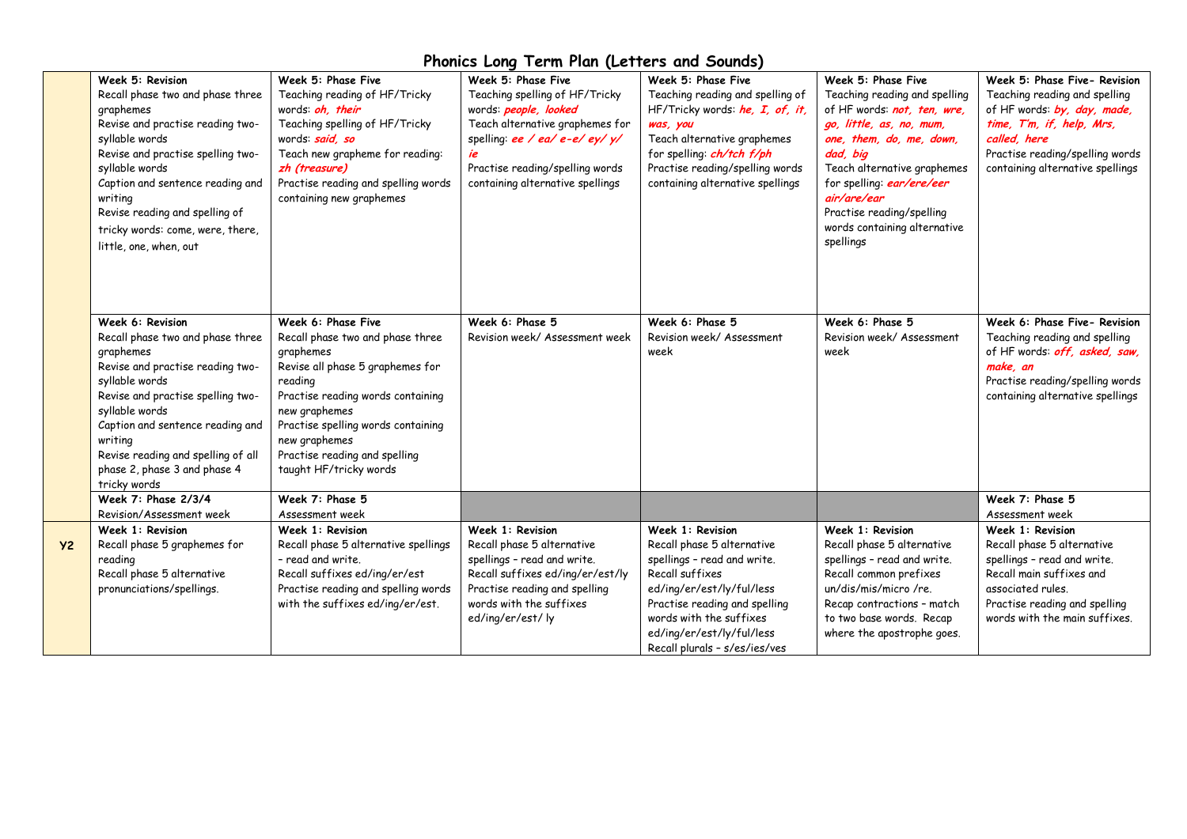|           | Week 5: Revision<br>Recall phase two and phase three<br>graphemes<br>Revise and practise reading two-<br>syllable words<br>Revise and practise spelling two-<br>syllable words<br>Caption and sentence reading and<br>writing<br>Revise reading and spelling of<br>tricky words: come, were, there,<br>little, one, when, out | Week 5: Phase Five<br>Teaching reading of HF/Tricky<br>words: oh, their<br>Teaching spelling of HF/Tricky<br>words: said, so<br>Teach new grapheme for reading:<br>zh (treasure)<br>Practise reading and spelling words<br>containing new graphemes                                        | Week 5: Phase Five<br>Teaching spelling of HF/Tricky<br>words: people, looked<br>Teach alternative graphemes for<br>spelling: ee / ea/ e-e/ ey/ y/<br>ie<br>Practise reading/spelling words<br>containing alternative spellings | Week 5: Phase Five<br>Teaching reading and spelling of<br>HF/Tricky words: he, I, of, it,<br>was, you<br>Teach alternative graphemes<br>for spelling: <i>ch/tch f/ph</i><br>Practise reading/spelling words<br>containing alternative spellings         | Week 5: Phase Five<br>Teaching reading and spelling<br>of HF words: not, ten, wre,<br>go, little, as, no, mum,<br>one, them, do, me, down,<br>dad, big<br>Teach alternative graphemes<br>for spelling: ear/ere/eer<br>air/are/ear<br>Practise reading/spelling<br>words containing alternative<br>spellings | Week 5: Phase Five- Revision<br>Teaching reading and spelling<br>of HF words: by, day, made,<br>time, T'm, if, help, Mrs,<br>called, here<br>Practise reading/spelling words<br>containing alternative spellings |
|-----------|-------------------------------------------------------------------------------------------------------------------------------------------------------------------------------------------------------------------------------------------------------------------------------------------------------------------------------|--------------------------------------------------------------------------------------------------------------------------------------------------------------------------------------------------------------------------------------------------------------------------------------------|---------------------------------------------------------------------------------------------------------------------------------------------------------------------------------------------------------------------------------|---------------------------------------------------------------------------------------------------------------------------------------------------------------------------------------------------------------------------------------------------------|-------------------------------------------------------------------------------------------------------------------------------------------------------------------------------------------------------------------------------------------------------------------------------------------------------------|------------------------------------------------------------------------------------------------------------------------------------------------------------------------------------------------------------------|
|           | Week 6: Revision<br>Recall phase two and phase three<br>graphemes<br>Revise and practise reading two-<br>syllable words<br>Revise and practise spelling two-<br>syllable words<br>Caption and sentence reading and<br>writing<br>Revise reading and spelling of all<br>phase 2, phase 3 and phase 4<br>tricky words           | Week 6: Phase Five<br>Recall phase two and phase three<br>graphemes<br>Revise all phase 5 graphemes for<br>reading<br>Practise reading words containing<br>new graphemes<br>Practise spelling words containing<br>new graphemes<br>Practise reading and spelling<br>taught HF/tricky words | Week 6: Phase 5<br>Revision week/ Assessment week                                                                                                                                                                               | Week 6: Phase 5<br>Revision week/ Assessment<br>week                                                                                                                                                                                                    | Week 6: Phase 5<br>Revision week/Assessment<br>week                                                                                                                                                                                                                                                         | Week 6: Phase Five- Revision<br>Teaching reading and spelling<br>of HF words: off, asked, saw,<br>make, an<br>Practise reading/spelling words<br>containing alternative spellings                                |
|           | Week 7: Phase 2/3/4<br>Revision/Assessment week                                                                                                                                                                                                                                                                               | Week 7: Phase 5<br>Assessment week                                                                                                                                                                                                                                                         |                                                                                                                                                                                                                                 |                                                                                                                                                                                                                                                         |                                                                                                                                                                                                                                                                                                             | Week 7: Phase 5<br>Assessment week                                                                                                                                                                               |
| <b>Y2</b> | Week 1: Revision<br>Recall phase 5 graphemes for<br>reading<br>Recall phase 5 alternative<br>pronunciations/spellings.                                                                                                                                                                                                        | Week 1: Revision<br>Recall phase 5 alternative spellings<br>- read and write.<br>Recall suffixes ed/ing/er/est<br>Practise reading and spelling words<br>with the suffixes ed/ing/er/est.                                                                                                  | Week 1: Revision<br>Recall phase 5 alternative<br>spellings - read and write.<br>Recall suffixes ed/ing/er/est/ly<br>Practise reading and spelling<br>words with the suffixes<br>ed/ing/er/est/ ly                              | Week 1: Revision<br>Recall phase 5 alternative<br>spellings - read and write.<br>Recall suffixes<br>ed/ing/er/est/ly/ful/less<br>Practise reading and spelling<br>words with the suffixes<br>ed/ing/er/est/ly/ful/less<br>Recall plurals - s/es/ies/ves | Week 1: Revision<br>Recall phase 5 alternative<br>spellings - read and write.<br>Recall common prefixes<br>un/dis/mis/micro/re.<br>Recap contractions - match<br>to two base words. Recap<br>where the apostrophe goes.                                                                                     | Week 1: Revision<br>Recall phase 5 alternative<br>spellings - read and write.<br>Recall main suffixes and<br>associated rules.<br>Practise reading and spelling<br>words with the main suffixes.                 |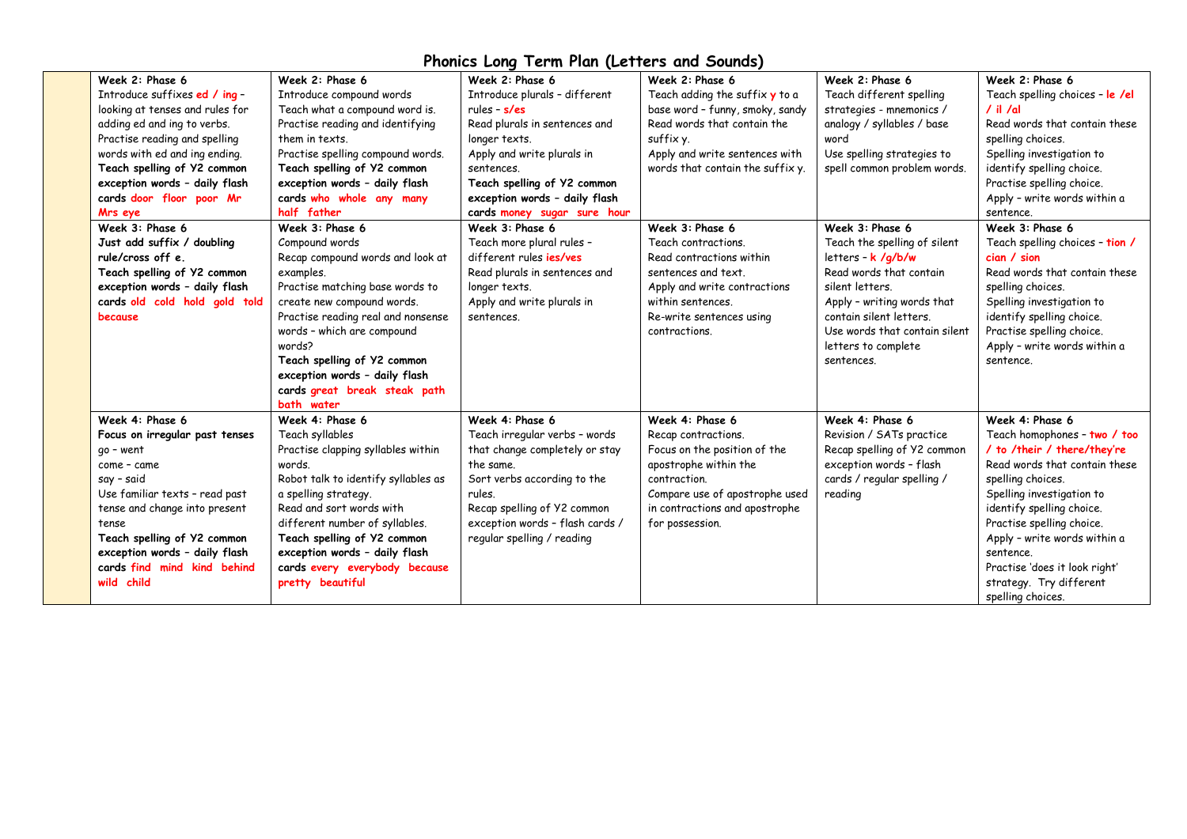| Week 2: Phase 6                 | Week 2: Phase 6                     | Week 2: Phase 6                 | Week 2: Phase 6                               | Week 2: Phase 6               | Week 2: Phase 6                 |
|---------------------------------|-------------------------------------|---------------------------------|-----------------------------------------------|-------------------------------|---------------------------------|
| Introduce suffixes ed / ing -   | Introduce compound words            | Introduce plurals - different   | Teach adding the suffix $\boldsymbol{y}$ to a | Teach different spelling      | Teach spelling choices - le /el |
| looking at tenses and rules for | Teach what a compound word is.      | rules - $s$ /es                 | base word - funny, smoky, sandy               | strategies - mnemonics /      | $/$ il $/$ al                   |
| adding ed and ing to verbs.     | Practise reading and identifying    | Read plurals in sentences and   | Read words that contain the                   | analogy / syllables / base    | Read words that contain these   |
| Practise reading and spelling   | them in texts.                      | longer texts.                   | suffix y.                                     | word                          | spelling choices.               |
| words with ed and ing ending.   | Practise spelling compound words.   | Apply and write plurals in      | Apply and write sentences with                | Use spelling strategies to    | Spelling investigation to       |
| Teach spelling of Y2 common     | Teach spelling of Y2 common         | sentences.                      | words that contain the suffix y.              | spell common problem words.   | identify spelling choice.       |
| exception words - daily flash   | exception words - daily flash       | Teach spelling of Y2 common     |                                               |                               | Practise spelling choice.       |
| cards door floor poor Mr        | cards who whole any many            | exception words - daily flash   |                                               |                               | Apply - write words within a    |
| Mrs eye                         | half father                         | cards money sugar sure hour     |                                               |                               | sentence.                       |
| Week 3: Phase 6                 | Week 3: Phase 6                     | Week 3: Phase 6                 | Week 3: Phase 6                               | Week 3: Phase 6               | Week 3: Phase 6                 |
| Just add suffix / doubling      | Compound words                      | Teach more plural rules -       | Teach contractions.                           | Teach the spelling of silent  | Teach spelling choices - tion / |
| rule/cross off e.               | Recap compound words and look at    | different rules <i>ies/ves</i>  | Read contractions within                      | letters - k /g/b/w            | cian / sion                     |
| Teach spelling of Y2 common     | examples.                           | Read plurals in sentences and   | sentences and text.                           | Read words that contain       | Read words that contain these   |
| exception words - daily flash   | Practise matching base words to     | longer texts.                   | Apply and write contractions                  | silent letters.               | spelling choices.               |
| cards old cold hold gold told   | create new compound words.          | Apply and write plurals in      | within sentences.                             | Apply - writing words that    | Spelling investigation to       |
| because                         | Practise reading real and nonsense  | sentences.                      | Re-write sentences using                      | contain silent letters.       | identify spelling choice.       |
|                                 | words - which are compound          |                                 | contractions.                                 | Use words that contain silent | Practise spelling choice.       |
|                                 | words?                              |                                 |                                               | letters to complete           | Apply - write words within a    |
|                                 | Teach spelling of Y2 common         |                                 |                                               | sentences.                    | sentence.                       |
|                                 | exception words - daily flash       |                                 |                                               |                               |                                 |
|                                 | cards great break steak path        |                                 |                                               |                               |                                 |
|                                 | bath water                          |                                 |                                               |                               |                                 |
| Week 4: Phase 6                 | Week 4: Phase 6                     | Week 4: Phase 6                 | Week 4: Phase 6                               | Week 4: Phase 6               | Week 4: Phase 6                 |
| Focus on irregular past tenses  | Teach syllables                     | Teach irregular verbs - words   | Recap contractions.                           | Revision / SATs practice      | Teach homophones - two / too    |
| go - went                       | Practise clapping syllables within  | that change completely or stay  | Focus on the position of the                  | Recap spelling of Y2 common   | / to /their / there/they're     |
| come - came                     | words.                              | the same.                       | apostrophe within the                         | exception words - flash       | Read words that contain these   |
| say - said                      | Robot talk to identify syllables as | Sort verbs according to the     | contraction.                                  | cards / regular spelling /    | spelling choices.               |
| Use familiar texts - read past  | a spelling strategy.                | rules.                          | Compare use of apostrophe used                | reading                       | Spelling investigation to       |
| tense and change into present   | Read and sort words with            | Recap spelling of Y2 common     | in contractions and apostrophe                |                               | identify spelling choice.       |
| tense                           | different number of syllables.      | exception words - flash cards / | for possession.                               |                               | Practise spelling choice.       |
| Teach spelling of Y2 common     | Teach spelling of Y2 common         | regular spelling / reading      |                                               |                               | Apply - write words within a    |
| exception words - daily flash   | exception words - daily flash       |                                 |                                               |                               | sentence.                       |
| cards find mind kind behind     | cards every everybody because       |                                 |                                               |                               | Practise 'does it look right'   |
| wild child                      | pretty beautiful                    |                                 |                                               |                               | strategy. Try different         |
|                                 |                                     |                                 |                                               |                               | spelling choices.               |